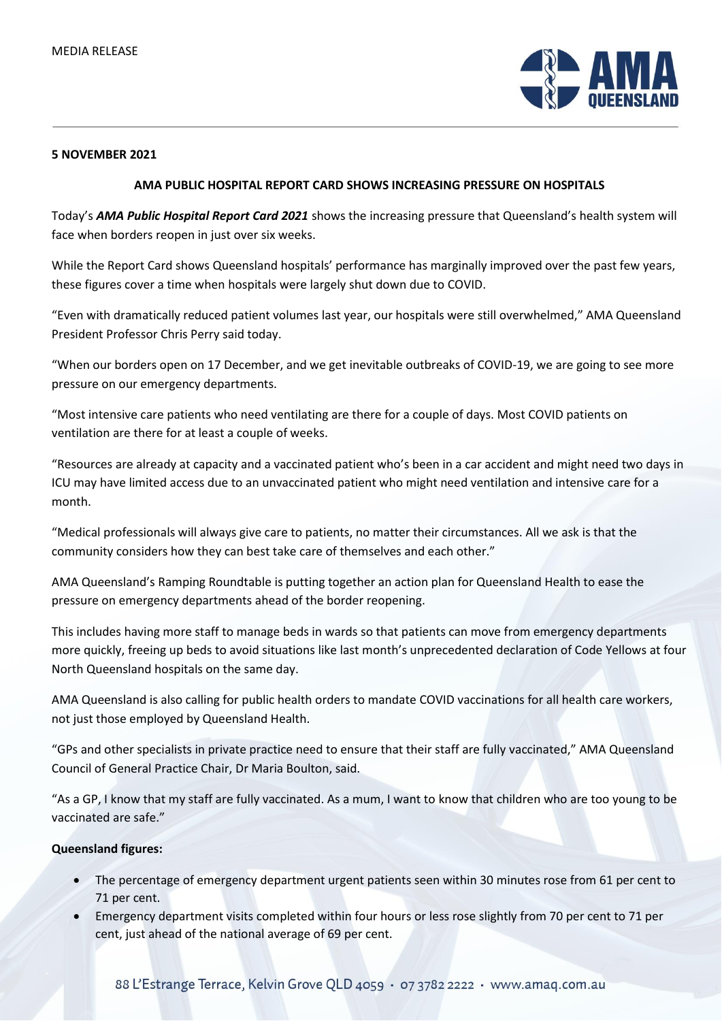

## **5 NOVEMBER 2021**

## **AMA PUBLIC HOSPITAL REPORT CARD SHOWS INCREASING PRESSURE ON HOSPITALS**

Today's *AMA Public Hospital Report Card 2021* shows the increasing pressure that Queensland's health system will face when borders reopen in just over six weeks.

While the Report Card shows Queensland hospitals' performance has marginally improved over the past few years, these figures cover a time when hospitals were largely shut down due to COVID.

"Even with dramatically reduced patient volumes last year, our hospitals were still overwhelmed," AMA Queensland President Professor Chris Perry said today.

"When our borders open on 17 December, and we get inevitable outbreaks of COVID-19, we are going to see more pressure on our emergency departments.

"Most intensive care patients who need ventilating are there for a couple of days. Most COVID patients on ventilation are there for at least a couple of weeks.

"Resources are already at capacity and a vaccinated patient who's been in a car accident and might need two days in ICU may have limited access due to an unvaccinated patient who might need ventilation and intensive care for a month.

"Medical professionals will always give care to patients, no matter their circumstances. All we ask is that the community considers how they can best take care of themselves and each other."

AMA Queensland's Ramping Roundtable is putting together an action plan for Queensland Health to ease the pressure on emergency departments ahead of the border reopening.

This includes having more staff to manage beds in wards so that patients can move from emergency departments more quickly, freeing up beds to avoid situations like last month's unprecedented declaration of Code Yellows at four North Queensland hospitals on the same day.

AMA Queensland is also calling for public health orders to mandate COVID vaccinations for all health care workers, not just those employed by Queensland Health.

"GPs and other specialists in private practice need to ensure that their staff are fully vaccinated," AMA Queensland Council of General Practice Chair, Dr Maria Boulton, said.

"As a GP, I know that my staff are fully vaccinated. As a mum, I want to know that children who are too young to be vaccinated are safe."

## **Queensland figures:**

- The percentage of emergency department urgent patients seen within 30 minutes rose from 61 per cent to 71 per cent.
- Emergency department visits completed within four hours or less rose slightly from 70 per cent to 71 per cent, just ahead of the national average of 69 per cent.